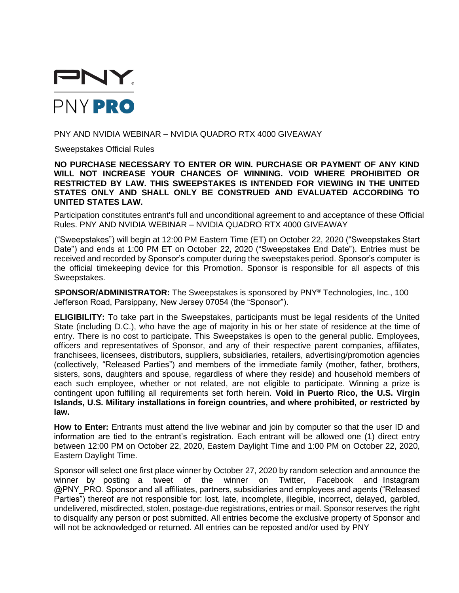

## PNY AND NVIDIA WEBINAR – NVIDIA QUADRO RTX 4000 GIVEAWAY

Sweepstakes Official Rules

**NO PURCHASE NECESSARY TO ENTER OR WIN. PURCHASE OR PAYMENT OF ANY KIND WILL NOT INCREASE YOUR CHANCES OF WINNING. VOID WHERE PROHIBITED OR RESTRICTED BY LAW. THIS SWEEPSTAKES IS INTENDED FOR VIEWING IN THE UNITED STATES ONLY AND SHALL ONLY BE CONSTRUED AND EVALUATED ACCORDING TO UNITED STATES LAW.**

Participation constitutes entrant's full and unconditional agreement to and acceptance of these Official Rules. PNY AND NVIDIA WEBINAR – NVIDIA QUADRO RTX 4000 GIVEAWAY

("Sweepstakes") will begin at 12:00 PM Eastern Time (ET) on October 22, 2020 ("Sweepstakes Start Date") and ends at 1:00 PM ET on October 22, 2020 ("Sweepstakes End Date"). Entries must be received and recorded by Sponsor's computer during the sweepstakes period. Sponsor's computer is the official timekeeping device for this Promotion. Sponsor is responsible for all aspects of this Sweepstakes.

**SPONSOR/ADMINISTRATOR:** The Sweepstakes is sponsored by PNY® Technologies, Inc., 100 Jefferson Road, Parsippany, New Jersey 07054 (the "Sponsor").

**ELIGIBILITY:** To take part in the Sweepstakes, participants must be legal residents of the United State (including D.C.), who have the age of majority in his or her state of residence at the time of entry. There is no cost to participate. This Sweepstakes is open to the general public. Employees, officers and representatives of Sponsor, and any of their respective parent companies, affiliates, franchisees, licensees, distributors, suppliers, subsidiaries, retailers, advertising/promotion agencies (collectively, "Released Parties") and members of the immediate family (mother, father, brothers, sisters, sons, daughters and spouse, regardless of where they reside) and household members of each such employee, whether or not related, are not eligible to participate. Winning a prize is contingent upon fulfilling all requirements set forth herein. **Void in Puerto Rico, the U.S. Virgin Islands, U.S. Military installations in foreign countries, and where prohibited, or restricted by law.**

**How to Enter:** Entrants must attend the live webinar and join by computer so that the user ID and information are tied to the entrant's registration. Each entrant will be allowed one (1) direct entry between 12:00 PM on October 22, 2020, Eastern Daylight Time and 1:00 PM on October 22, 2020, Eastern Daylight Time.

Sponsor will select one first place winner by October 27, 2020 by random selection and announce the winner by posting a tweet of the winner on Twitter, Facebook and Instagram @PNY\_PRO. Sponsor and all affiliates, partners, subsidiaries and employees and agents ("Released Parties") thereof are not responsible for: lost, late, incomplete, illegible, incorrect, delayed, garbled, undelivered, misdirected, stolen, postage-due registrations, entries or mail. Sponsor reserves the right to disqualify any person or post submitted. All entries become the exclusive property of Sponsor and will not be acknowledged or returned. All entries can be reposted and/or used by PNY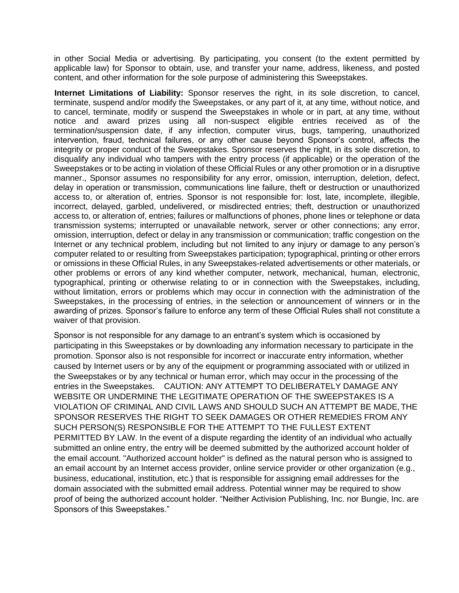in other Social Media or advertising. By participating, you consent (to the extent permitted by applicable law) for Sponsor to obtain, use, and transfer your name, address, likeness, and posted content, and other information for the sole purpose of administering this Sweepstakes.

**Internet Limitations of Liability:** Sponsor reserves the right, in its sole discretion, to cancel, terminate, suspend and/or modify the Sweepstakes, or any part of it, at any time, without notice, and to cancel, terminate, modify or suspend the Sweepstakes in whole or in part, at any time, without notice and award prizes using all non-suspect eligible entries received as of the termination/suspension date, if any infection, computer virus, bugs, tampering, unauthorized intervention, fraud, technical failures, or any other cause beyond Sponsor's control, affects the integrity or proper conduct of the Sweepstakes. Sponsor reserves the right, in its sole discretion, to disqualify any individual who tampers with the entry process (if applicable) or the operation of the Sweepstakes or to be acting in violation of these Official Rules or any other promotion or in a disruptive manner., Sponsor assumes no responsibility for any error, omission, interruption, deletion, defect, delay in operation or transmission, communications line failure, theft or destruction or unauthorized access to, or alteration of, entries. Sponsor is not responsible for: lost, late, incomplete, illegible, incorrect, delayed, garbled, undelivered, or misdirected entries; theft, destruction or unauthorized access to, or alteration of, entries; failures or malfunctions of phones, phone lines or telephone or data transmission systems; interrupted or unavailable network, server or other connections; any error, omission, interruption, defect or delay in any transmission or communication; traffic congestion on the Internet or any technical problem, including but not limited to any injury or damage to any person's computer related to or resulting from Sweepstakes participation; typographical, printing or other errors or omissions in these Official Rules, in any Sweepstakes-related advertisements or other materials, or other problems or errors of any kind whether computer, network, mechanical, human, electronic, typographical, printing or otherwise relating to or in connection with the Sweepstakes, including, without limitation, errors or problems which may occur in connection with the administration of the Sweepstakes, in the processing of entries, in the selection or announcement of winners or in the awarding of prizes. Sponsor's failure to enforce any term of these Official Rules shall not constitute a waiver of that provision.

Sponsor is not responsible for any damage to an entrant's system which is occasioned by participating in this Sweepstakes or by downloading any information necessary to participate in the promotion. Sponsor also is not responsible for incorrect or inaccurate entry information, whether caused by Internet users or by any of the equipment or programming associated with or utilized in the Sweepstakes or by any technical or human error, which may occur in the processing of the entries in the Sweepstakes. CAUTION: ANY ATTEMPT TO DELIBERATELY DAMAGE ANY WEBSITE OR UNDERMINE THE LEGITIMATE OPERATION OF THE SWEEPSTAKES IS A VIOLATION OF CRIMINAL AND CIVIL LAWS AND SHOULD SUCH AN ATTEMPT BE MADE, THE SPONSOR RESERVES THE RIGHT TO SEEK DAMAGES OR OTHER REMEDIES FROM ANY SUCH PERSON(S) RESPONSIBLE FOR THE ATTEMPT TO THE FULLEST EXTENT PERMITTED BY LAW. In the event of a dispute regarding the identity of an individual who actually submitted an online entry, the entry will be deemed submitted by the authorized account holder of the email account. "Authorized account holder" is defined as the natural person who is assigned to an email account by an Internet access provider, online service provider or other organization (e.g., business, educational, institution, etc.) that is responsible for assigning email addresses for the domain associated with the submitted email address. Potential winner may be required to show proof of being the authorized account holder. "Neither Activision Publishing, Inc. nor Bungie, Inc. are Sponsors of this Sweepstakes."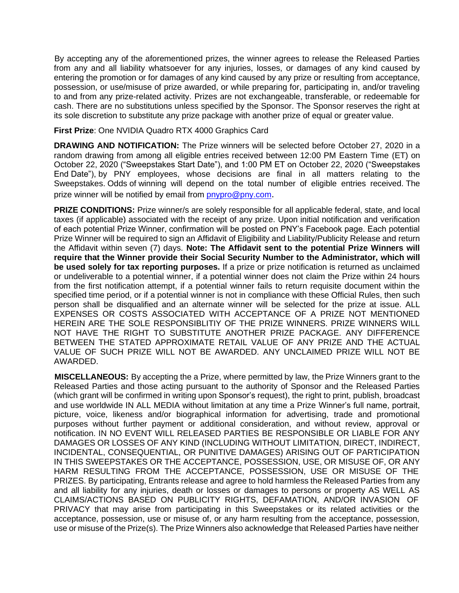By accepting any of the aforementioned prizes, the winner agrees to release the Released Parties from any and all liability whatsoever for any injuries, losses, or damages of any kind caused by entering the promotion or for damages of any kind caused by any prize or resulting from acceptance, possession, or use/misuse of prize awarded, or while preparing for, participating in, and/or traveling to and from any prize-related activity. Prizes are not exchangeable, transferable, or redeemable for cash. There are no substitutions unless specified by the Sponsor. The Sponsor reserves the right at its sole discretion to substitute any prize package with another prize of equal or greater value.

## **First Prize**: One NVIDIA Quadro RTX 4000 Graphics Card

**DRAWING AND NOTIFICATION:** The Prize winners will be selected before October 27, 2020 in a random drawing from among all eligible entries received between 12:00 PM Eastern Time (ET) on October 22, 2020 ("Sweepstakes Start Date"), and 1:00 PM ET on October 22, 2020 ("Sweepstakes End Date"), by PNY employees, whose decisions are final in all matters relating to the Sweepstakes. Odds of winning will depend on the total number of eligible entries received. The prize winner will be notified by email from [pnypro@pny.com](mailto:pnypro@pny.com).

**PRIZE CONDITIONS:** Prize winner/s are solely responsible for all applicable federal, state, and local taxes (if applicable) associated with the receipt of any prize. Upon initial notification and verification of each potential Prize Winner, confirmation will be posted on PNY's Facebook page. Each potential Prize Winner will be required to sign an Affidavit of Eligibility and Liability/Publicity Release and return the Affidavit within seven (7) days. **Note: The Affidavit sent to the potential Prize Winners will require that the Winner provide their Social Security Number to the Administrator, which will be used solely for tax reporting purposes.** If a prize or prize notification is returned as unclaimed or undeliverable to a potential winner, if a potential winner does not claim the Prize within 24 hours from the first notification attempt, if a potential winner fails to return requisite document within the specified time period, or if a potential winner is not in compliance with these Official Rules, then such person shall be disqualified and an alternate winner will be selected for the prize at issue. ALL EXPENSES OR COSTS ASSOCIATED WITH ACCEPTANCE OF A PRIZE NOT MENTIONED HEREIN ARE THE SOLE RESPONSIBLITIY OF THE PRIZE WINNERS. PRIZE WINNERS WILL NOT HAVE THE RIGHT TO SUBSTITUTE ANOTHER PRIZE PACKAGE. ANY DIFFERENCE BETWEEN THE STATED APPROXIMATE RETAIL VALUE OF ANY PRIZE AND THE ACTUAL VALUE OF SUCH PRIZE WILL NOT BE AWARDED. ANY UNCLAIMED PRIZE WILL NOT BE AWARDED.

**MISCELLANEOUS:** By accepting the a Prize, where permitted by law, the Prize Winners grant to the Released Parties and those acting pursuant to the authority of Sponsor and the Released Parties (which grant will be confirmed in writing upon Sponsor's request), the right to print, publish, broadcast and use worldwide IN ALL MEDIA without limitation at any time a Prize Winner's full name, portrait, picture, voice, likeness and/or biographical information for advertising, trade and promotional purposes without further payment or additional consideration, and without review, approval or notification. IN NO EVENT WILL RELEASED PARTIES BE RESPONSIBLE OR LIABLE FOR ANY DAMAGES OR LOSSES OF ANY KIND (INCLUDING WITHOUT LIMITATION, DIRECT, INDIRECT, INCIDENTAL, CONSEQUENTIAL, OR PUNITIVE DAMAGES) ARISING OUT OF PARTICIPATION IN THIS SWEEPSTAKES OR THE ACCEPTANCE, POSSESSION, USE, OR MISUSE OF, OR ANY HARM RESULTING FROM THE ACCEPTANCE, POSSESSION, USE OR MISUSE OF THE PRIZES. By participating, Entrants release and agree to hold harmless the Released Parties from any and all liability for any injuries, death or losses or damages to persons or property AS WELL AS CLAIMS/ACTIONS BASED ON PUBLICITY RIGHTS, DEFAMATION, AND/OR INVASION OF PRIVACY that may arise from participating in this Sweepstakes or its related activities or the acceptance, possession, use or misuse of, or any harm resulting from the acceptance, possession, use or misuse of the Prize(s). The Prize Winners also acknowledge that Released Parties have neither